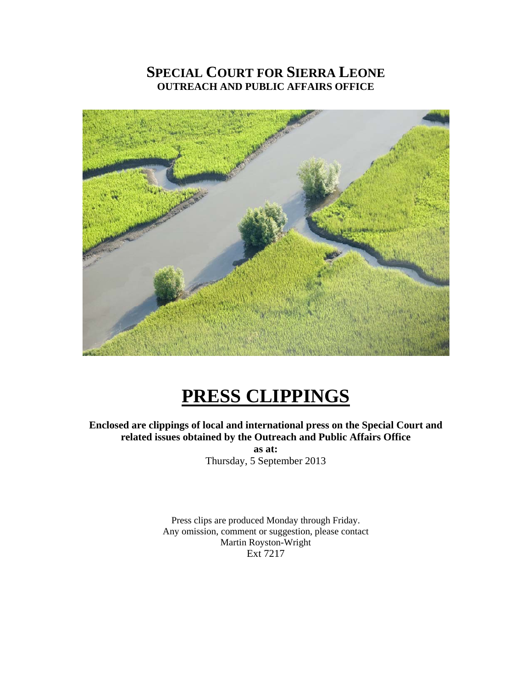## **SPECIAL COURT FOR SIERRA LEONE OUTREACH AND PUBLIC AFFAIRS OFFICE**



# **PRESS CLIPPINGS**

**Enclosed are clippings of local and international press on the Special Court and related issues obtained by the Outreach and Public Affairs Office as at:**  Thursday, 5 September 2013

> Press clips are produced Monday through Friday. Any omission, comment or suggestion, please contact Martin Royston-Wright Ext 7217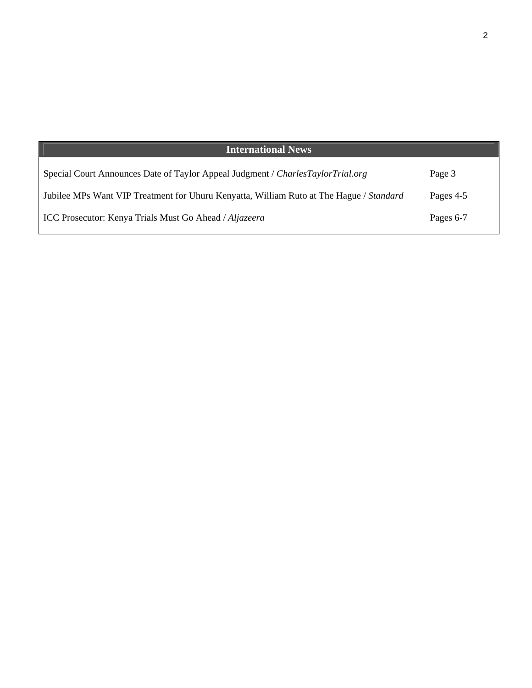| <b>International News</b>                                                               |           |
|-----------------------------------------------------------------------------------------|-----------|
| Special Court Announces Date of Taylor Appeal Judgment / CharlesTaylorTrial.org         | Page 3    |
| Jubilee MPs Want VIP Treatment for Uhuru Kenyatta, William Ruto at The Hague / Standard | Pages 4-5 |
| ICC Prosecutor: Kenya Trials Must Go Ahead / Aljazeera                                  | Pages 6-7 |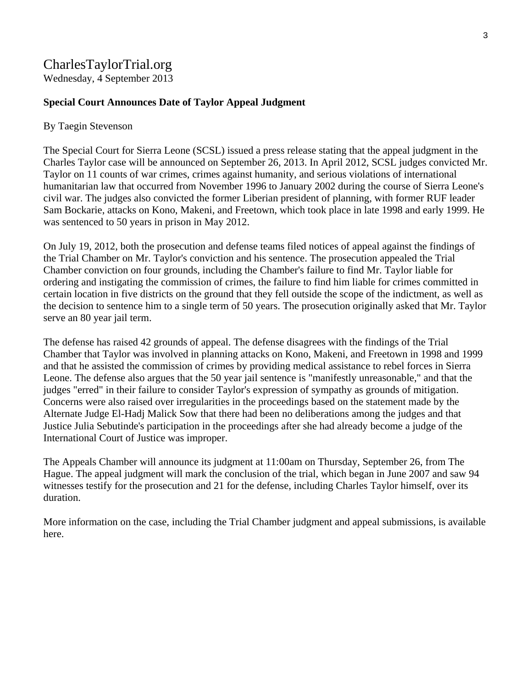# CharlesTaylorTrial.org

Wednesday, 4 September 2013

#### **Special Court Announces Date of Taylor Appeal Judgment**

#### By Taegin Stevenson

The Special Court for Sierra Leone (SCSL) issued a press release stating that the appeal judgment in the Charles Taylor case will be announced on September 26, 2013. In April 2012, SCSL judges convicted Mr. Taylor on 11 counts of war crimes, crimes against humanity, and serious violations of international humanitarian law that occurred from November 1996 to January 2002 during the course of Sierra Leone's civil war. The judges also convicted the former Liberian president of planning, with former RUF leader Sam Bockarie, attacks on Kono, Makeni, and Freetown, which took place in late 1998 and early 1999. He was sentenced to 50 years in prison in May 2012.

On July 19, 2012, both the prosecution and defense teams filed notices of appeal against the findings of the Trial Chamber on Mr. Taylor's conviction and his sentence. The prosecution appealed the Trial Chamber conviction on four grounds, including the Chamber's failure to find Mr. Taylor liable for ordering and instigating the commission of crimes, the failure to find him liable for crimes committed in certain location in five districts on the ground that they fell outside the scope of the indictment, as well as the decision to sentence him to a single term of 50 years. The prosecution originally asked that Mr. Taylor serve an 80 year jail term.

The defense has raised 42 grounds of appeal. The defense disagrees with the findings of the Trial Chamber that Taylor was involved in planning attacks on Kono, Makeni, and Freetown in 1998 and 1999 and that he assisted the commission of crimes by providing medical assistance to rebel forces in Sierra Leone. The defense also argues that the 50 year jail sentence is "manifestly unreasonable," and that the judges "erred" in their failure to consider Taylor's expression of sympathy as grounds of mitigation. Concerns were also raised over irregularities in the proceedings based on the statement made by the Alternate Judge El-Hadj Malick Sow that there had been no deliberations among the judges and that Justice Julia Sebutinde's participation in the proceedings after she had already become a judge of the International Court of Justice was improper.

The Appeals Chamber will announce its judgment at 11:00am on Thursday, September 26, from The Hague. The appeal judgment will mark the conclusion of the trial, which began in June 2007 and saw 94 witnesses testify for the prosecution and 21 for the defense, including Charles Taylor himself, over its duration.

More information on the case, including the Trial Chamber judgment and appeal submissions, is available here.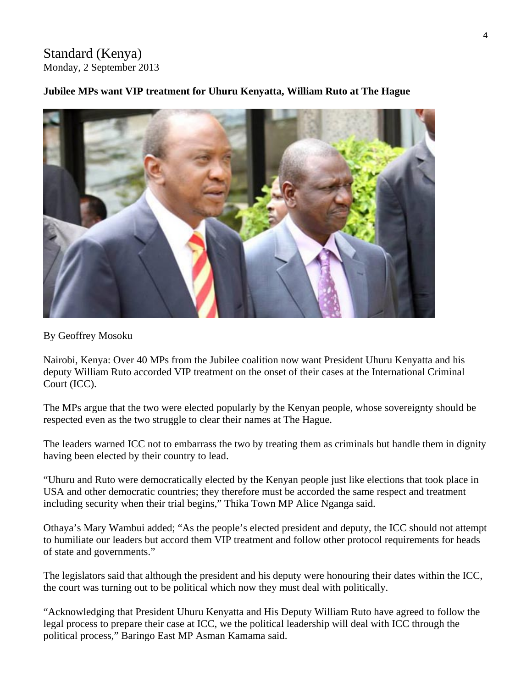Standard (Kenya) Monday, 2 September 2013

#### **Jubilee MPs want VIP treatment for Uhuru Kenyatta, William Ruto at The Hague**



By Geoffrey Mosoku

Nairobi, Kenya: Over 40 MPs from the Jubilee coalition now want President Uhuru Kenyatta and his deputy William Ruto accorded VIP treatment on the onset of their cases at the International Criminal Court (ICC).

The MPs argue that the two were elected popularly by the Kenyan people, whose sovereignty should be respected even as the two struggle to clear their names at The Hague.

The leaders warned ICC not to embarrass the two by treating them as criminals but handle them in dignity having been elected by their country to lead.

"Uhuru and Ruto were democratically elected by the Kenyan people just like elections that took place in USA and other democratic countries; they therefore must be accorded the same respect and treatment including security when their trial begins," Thika Town MP Alice Nganga said.

Othaya's Mary Wambui added; "As the people's elected president and deputy, the ICC should not attempt to humiliate our leaders but accord them VIP treatment and follow other protocol requirements for heads of state and governments."

The legislators said that although the president and his deputy were honouring their dates within the ICC, the court was turning out to be political which now they must deal with politically.

"Acknowledging that President Uhuru Kenyatta and His Deputy William Ruto have agreed to follow the legal process to prepare their case at ICC, we the political leadership will deal with ICC through the political process," Baringo East MP Asman Kamama said.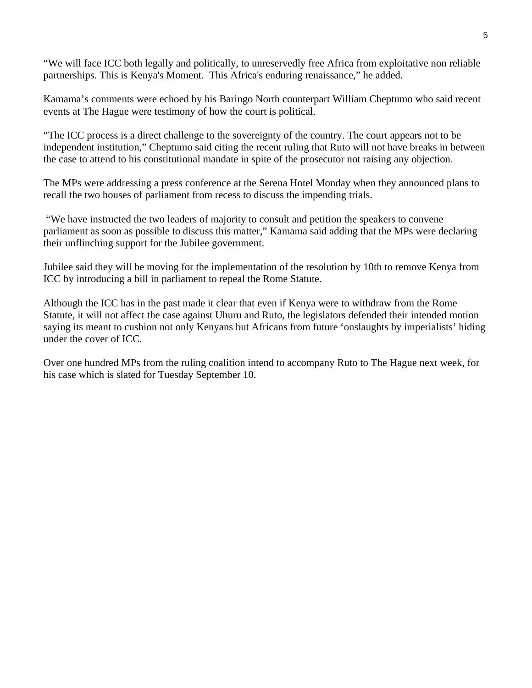"We will face ICC both legally and politically, to unreservedly free Africa from exploitative non reliable partnerships. This is Kenya's Moment. This Africa's enduring renaissance," he added.

Kamama's comments were echoed by his Baringo North counterpart William Cheptumo who said recent events at The Hague were testimony of how the court is political.

"The ICC process is a direct challenge to the sovereignty of the country. The court appears not to be independent institution," Cheptumo said citing the recent ruling that Ruto will not have breaks in between the case to attend to his constitutional mandate in spite of the prosecutor not raising any objection.

The MPs were addressing a press conference at the Serena Hotel Monday when they announced plans to recall the two houses of parliament from recess to discuss the impending trials.

 "We have instructed the two leaders of majority to consult and petition the speakers to convene parliament as soon as possible to discuss this matter," Kamama said adding that the MPs were declaring their unflinching support for the Jubilee government.

Jubilee said they will be moving for the implementation of the resolution by 10th to remove Kenya from ICC by introducing a bill in parliament to repeal the Rome Statute.

Although the ICC has in the past made it clear that even if Kenya were to withdraw from the Rome Statute, it will not affect the case against Uhuru and Ruto, the legislators defended their intended motion saying its meant to cushion not only Kenyans but Africans from future 'onslaughts by imperialists' hiding under the cover of ICC.

Over one hundred MPs from the ruling coalition intend to accompany Ruto to The Hague next week, for his case which is slated for Tuesday September 10.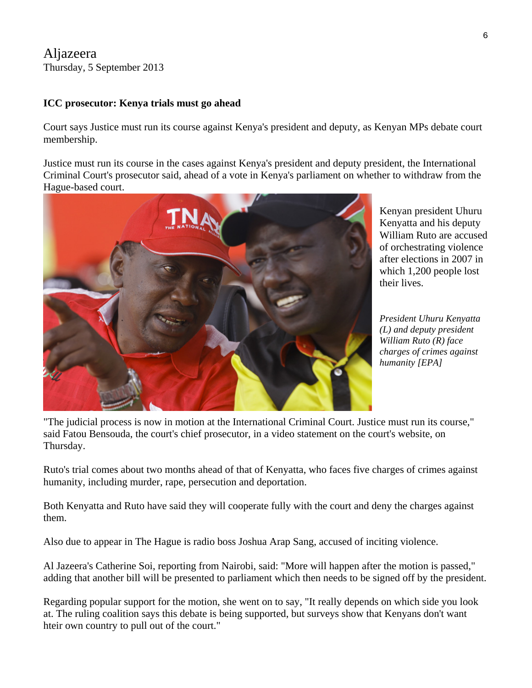## Aljazeera Thursday, 5 September 2013

### **ICC prosecutor: Kenya trials must go ahead**

Court says Justice must run its course against Kenya's president and deputy, as Kenyan MPs debate court membership.

Justice must run its course in the cases against Kenya's president and deputy president, the International Criminal Court's prosecutor said, ahead of a vote in Kenya's parliament on whether to withdraw from the Hague-based court.



Kenyan president Uhuru Kenyatta and his deputy William Ruto are a ccused of orchestrating violence after elections in 2007 in which 1,200 people lost their lives.

*President Uhuru Kenyatta (L) and deputy president William Ruto (R) face charges of crimes against humanity [EPA]* 

"The judicial process is now in motion at the International Criminal Court. Justice must run its course," said Fatou Bensouda, the court's chief prosecutor, in a video statement on the court's website, on Thursday.

Ruto's trial comes about two months ahead of that of Kenyatta, who faces five charges of crimes against humanity, including murder, rape, persecution and deportation.

Both Kenyatta and Ruto have said they will cooperate fully with the court and deny the charges against them.

Also due to appear in The Hague is radio boss Joshua Arap Sang, accused of inciting violence.

Al Jazeera's Catherine Soi, reporting from Nairobi, said: "More will happen after the motion is passed," adding that another bill will be presented to parliament which then needs to be signed off by the president.

Regarding popular support for the motion, she went on to say, "It really depends on which side you look at. The ruling coalition says this debate is being supported, but surveys show that Kenyans don't want hteir own country to pull out of the court."